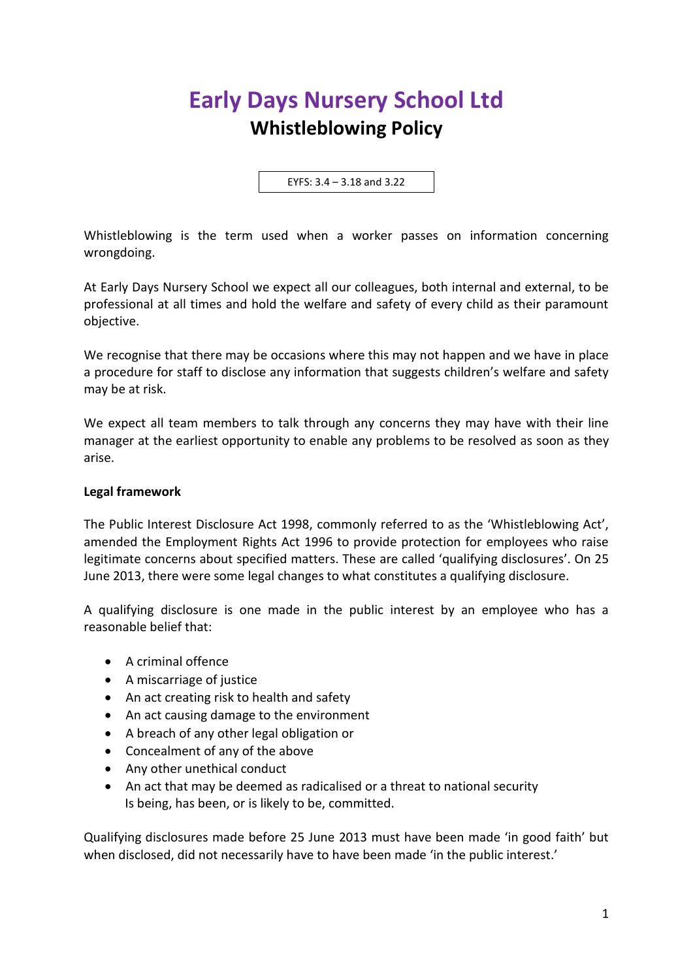## **Early Days Nursery School Ltd Whistleblowing Policy**

EYFS: 3.4 – 3.18 and 3.22

Whistleblowing is the term used when a worker passes on information concerning wrongdoing.

At Early Days Nursery School we expect all our colleagues, both internal and external, to be professional at all times and hold the welfare and safety of every child as their paramount objective.

We recognise that there may be occasions where this may not happen and we have in place a procedure for staff to disclose any information that suggests children's welfare and safety may be at risk.

We expect all team members to talk through any concerns they may have with their line manager at the earliest opportunity to enable any problems to be resolved as soon as they arise.

## **Legal framework**

The Public Interest Disclosure Act 1998, commonly referred to as the 'Whistleblowing Act', amended the Employment Rights Act 1996 to provide protection for employees who raise legitimate concerns about specified matters. These are called 'qualifying disclosures'. On 25 June 2013, there were some legal changes to what constitutes a qualifying disclosure.

A qualifying disclosure is one made in the public interest by an employee who has a reasonable belief that:

- A criminal offence
- A miscarriage of justice
- An act creating risk to health and safety
- An act causing damage to the environment
- A breach of any other legal obligation or
- Concealment of any of the above
- Any other unethical conduct
- An act that may be deemed as radicalised or a threat to national security Is being, has been, or is likely to be, committed.

Qualifying disclosures made before 25 June 2013 must have been made 'in good faith' but when disclosed, did not necessarily have to have been made 'in the public interest.'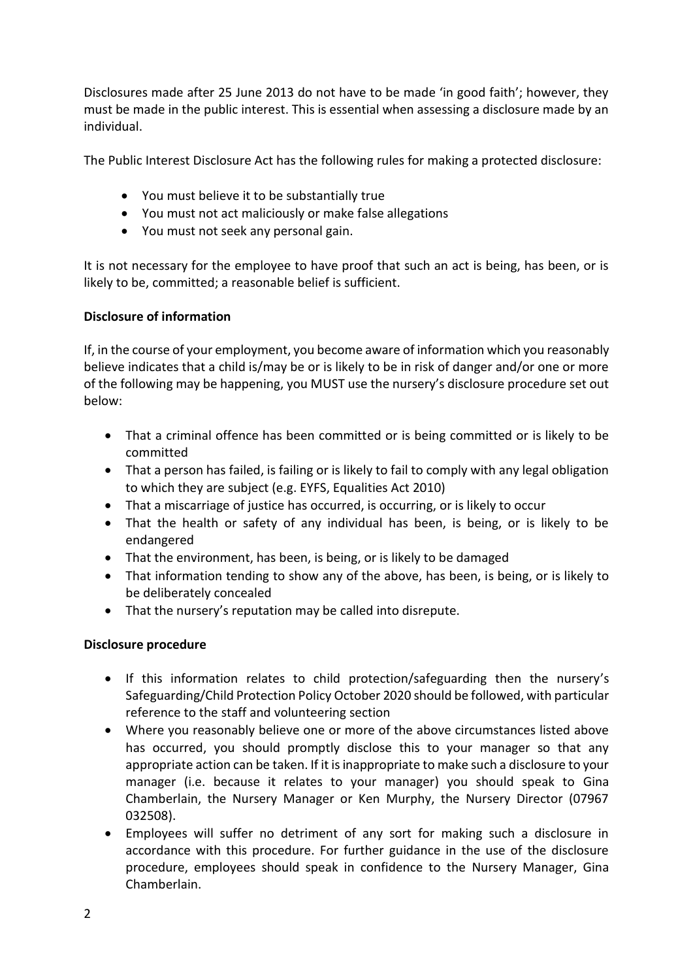Disclosures made after 25 June 2013 do not have to be made 'in good faith'; however, they must be made in the public interest. This is essential when assessing a disclosure made by an individual.

The Public Interest Disclosure Act has the following rules for making a protected disclosure:

- You must believe it to be substantially true
- You must not act maliciously or make false allegations
- You must not seek any personal gain.

It is not necessary for the employee to have proof that such an act is being, has been, or is likely to be, committed; a reasonable belief is sufficient.

## **Disclosure of information**

If, in the course of your employment, you become aware of information which you reasonably believe indicates that a child is/may be or is likely to be in risk of danger and/or one or more of the following may be happening, you MUST use the nursery's disclosure procedure set out below:

- That a criminal offence has been committed or is being committed or is likely to be committed
- That a person has failed, is failing or is likely to fail to comply with any legal obligation to which they are subject (e.g. EYFS, Equalities Act 2010)
- That a miscarriage of justice has occurred, is occurring, or is likely to occur
- That the health or safety of any individual has been, is being, or is likely to be endangered
- That the environment, has been, is being, or is likely to be damaged
- That information tending to show any of the above, has been, is being, or is likely to be deliberately concealed
- That the nursery's reputation may be called into disrepute.

## **Disclosure procedure**

- If this information relates to child protection/safeguarding then the nursery's Safeguarding/Child Protection Policy October 2020 should be followed, with particular reference to the staff and volunteering section
- Where you reasonably believe one or more of the above circumstances listed above has occurred, you should promptly disclose this to your manager so that any appropriate action can be taken. If it is inappropriate to make such a disclosure to your manager (i.e. because it relates to your manager) you should speak to Gina Chamberlain, the Nursery Manager or Ken Murphy, the Nursery Director (07967 032508).
- Employees will suffer no detriment of any sort for making such a disclosure in accordance with this procedure. For further guidance in the use of the disclosure procedure, employees should speak in confidence to the Nursery Manager, Gina Chamberlain.